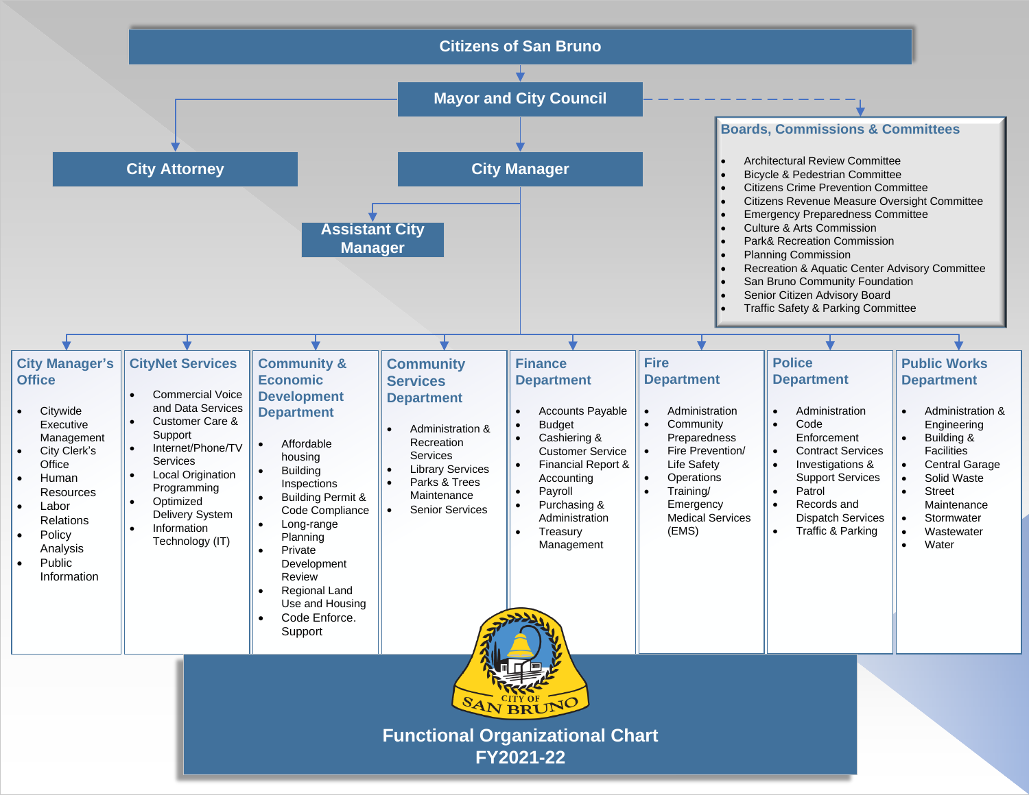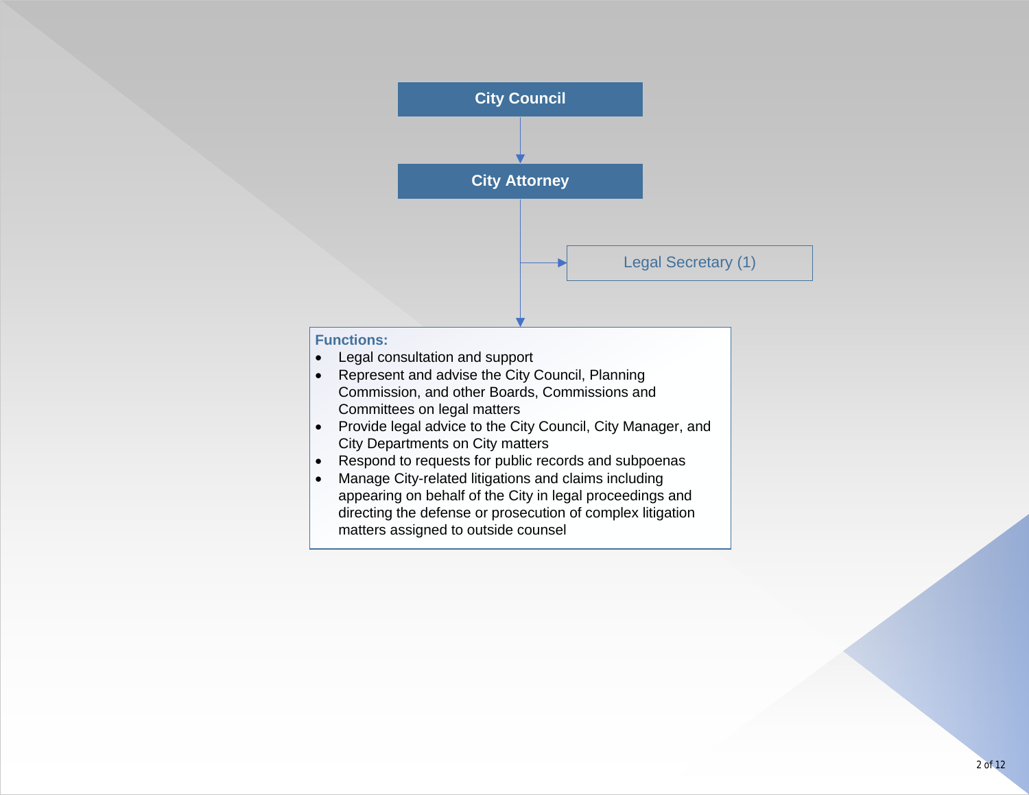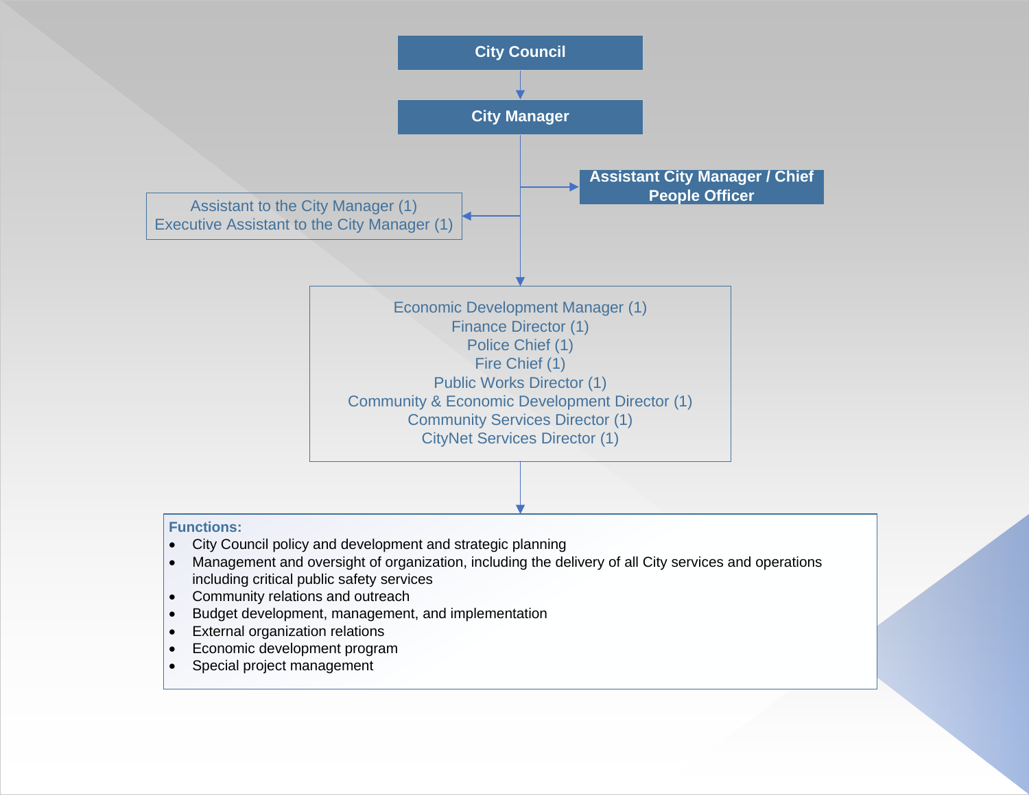

- including critical public safety services
- Community relations and outreach
- Budget development, management, and implementation
- External organization relations
- Economic development program
- Special project management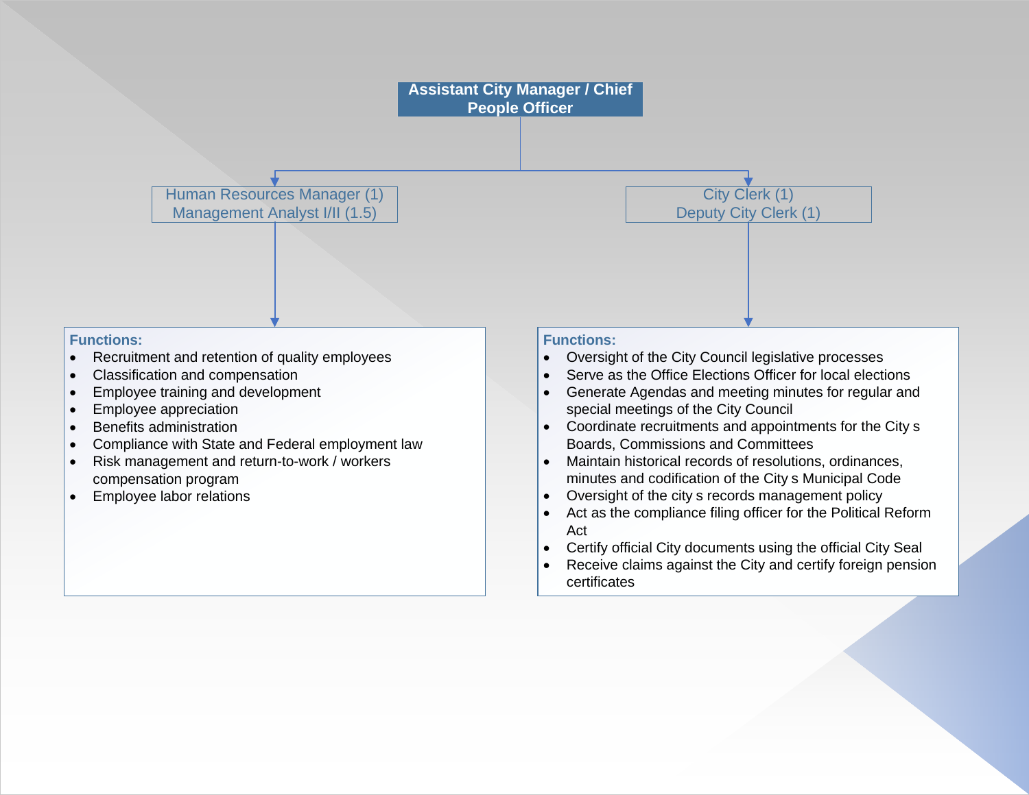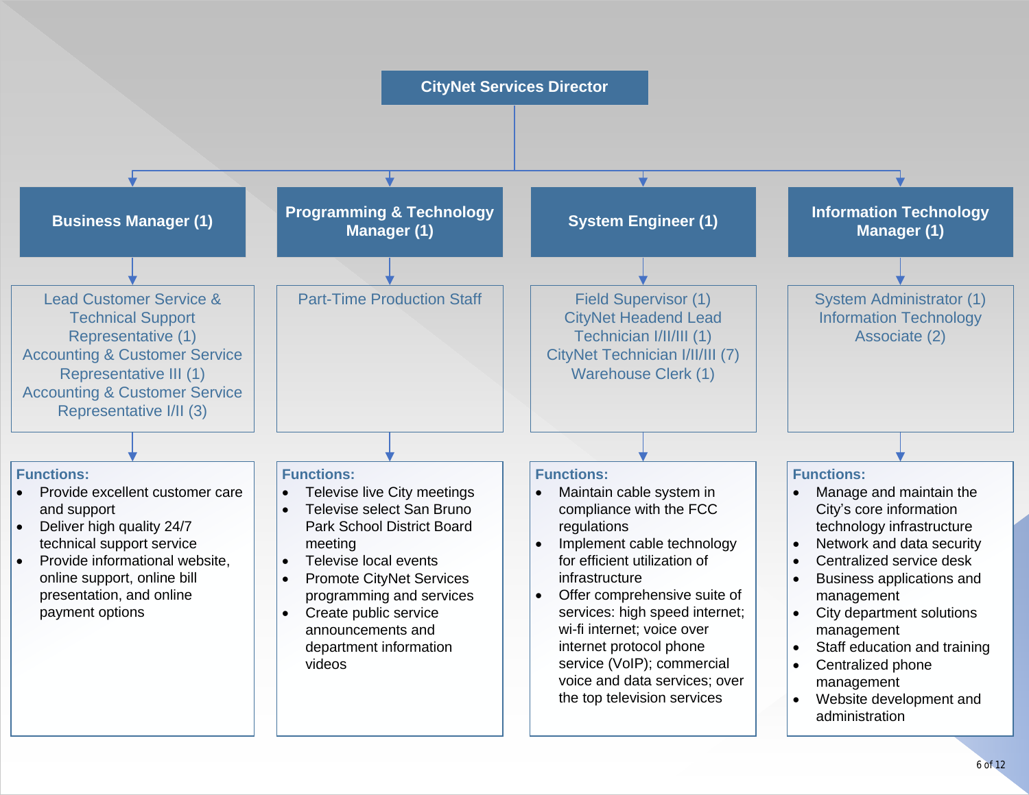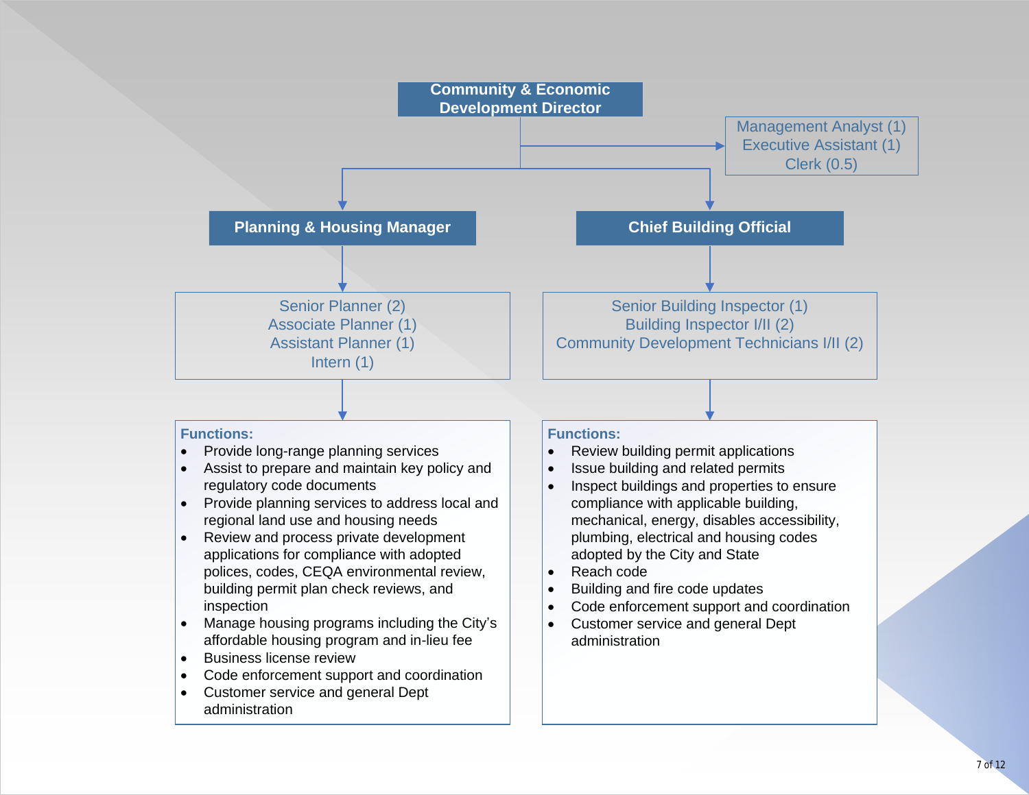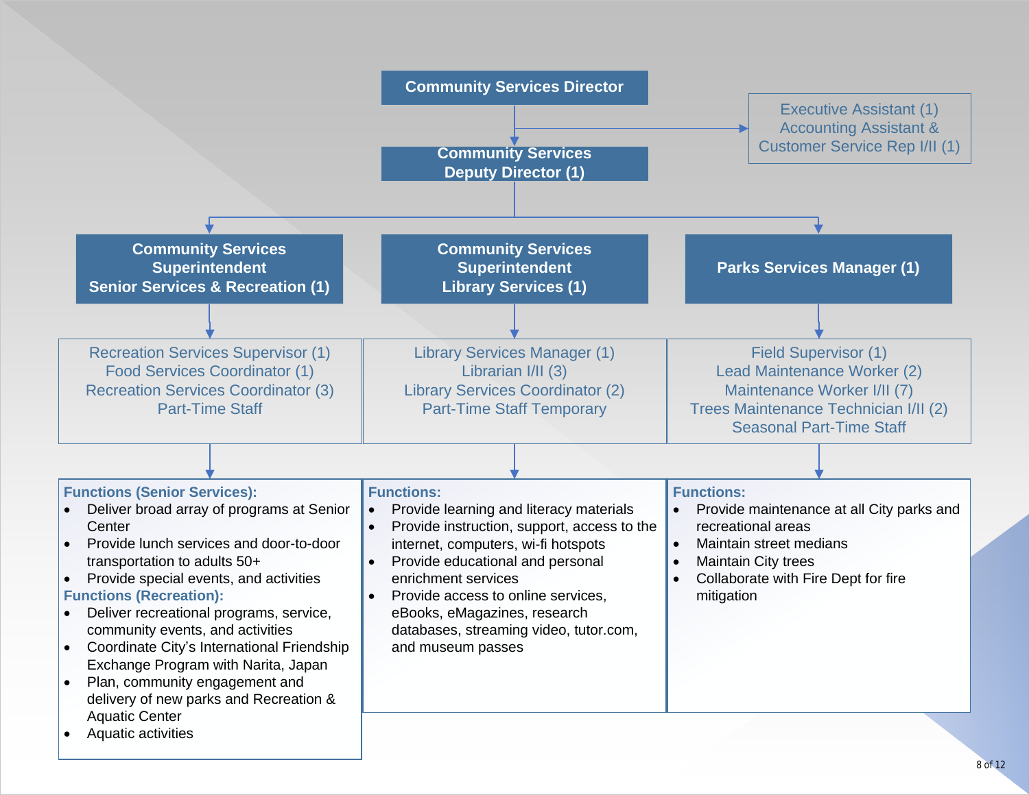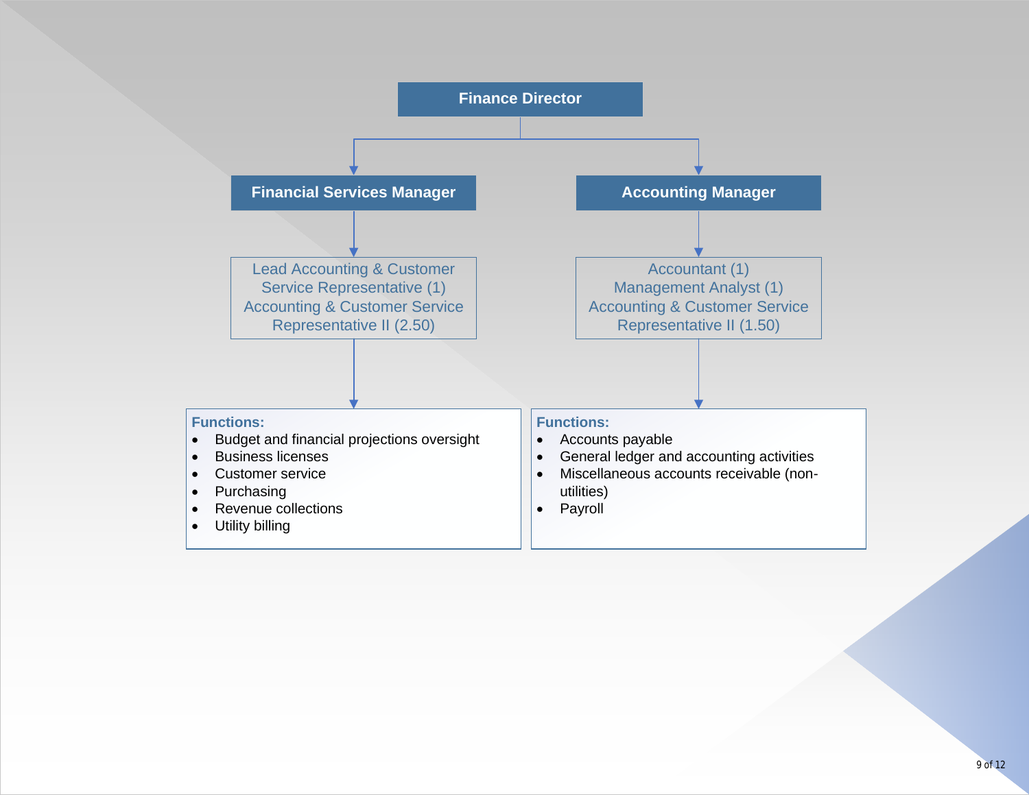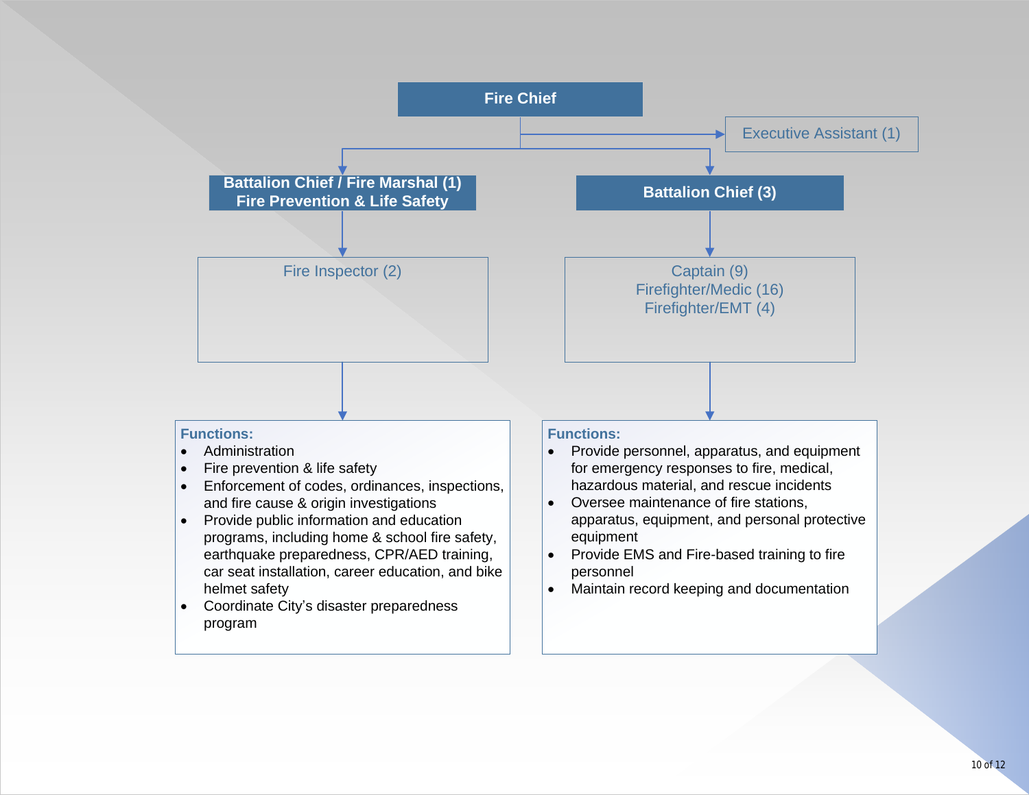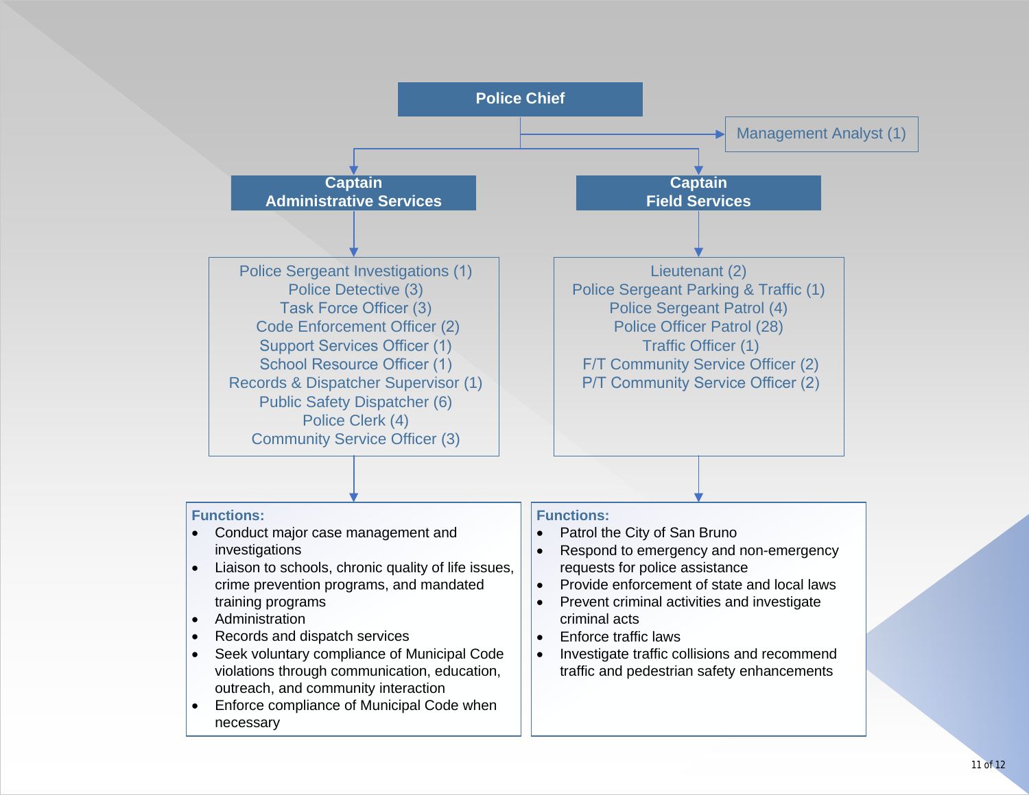